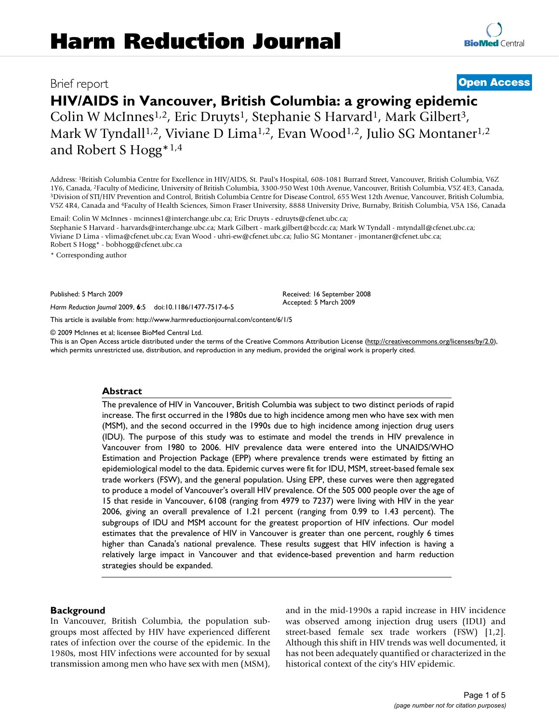# Brief report **[Open Access](http://www.biomedcentral.com/info/about/charter/)**

# **HIV/AIDS in Vancouver, British Columbia: a growing epidemic**

Colin W McInnes<sup>1,2</sup>, Eric Druyts<sup>1</sup>, Stephanie S Harvard<sup>1</sup>, Mark Gilbert<sup>3</sup>, Mark W Tyndall<sup>1,2</sup>, Viviane D Lima<sup>1,2</sup>, Evan Wood<sup>1,2</sup>, Julio SG Montaner<sup>1,2</sup> and Robert S Hogg\*1,4

Address: 1British Columbia Centre for Excellence in HIV/AIDS, St. Paul's Hospital, 608-1081 Burrard Street, Vancouver, British Columbia, V6Z 1Y6, Canada, <sup>2</sup>Faculty of Medicine, University of British Columbia, 3300-950 West 10th Avenue, Vancouver, British Columbia, V5Z 4E3, Canada,<br><sup>3</sup>Division of STI/HIV Prevention and Control, British Columbia Centre for Disea V5Z 4R4, Canada and 4Faculty of Health Sciences, Simon Fraser University, 8888 University Drive, Burnaby, British Columbia, V5A 1S6, Canada

Email: Colin W McInnes - mcinnes1@interchange.ubc.ca; Eric Druyts - edruyts@cfenet.ubc.ca;

Stephanie S Harvard - harvards@interchange.ubc.ca; Mark Gilbert - mark.gilbert@bccdc.ca; Mark W Tyndall - mtyndall@cfenet.ubc.ca; Viviane D Lima - vlima@cfenet.ubc.ca; Evan Wood - uhri-ew@cfenet.ubc.ca; Julio SG Montaner - jmontaner@cfenet.ubc.ca; Robert S Hogg\* - bobhogg@cfenet.ubc.ca

\* Corresponding author

Published: 5 March 2009

*Harm Reduction Journal* 2009, **6**:5 doi:10.1186/1477-7517-6-5

[This article is available from: http://www.harmreductionjournal.com/content/6/1/5](http://www.harmreductionjournal.com/content/6/1/5)

© 2009 McInnes et al; licensee BioMed Central Ltd.

This is an Open Access article distributed under the terms of the Creative Commons Attribution License [\(http://creativecommons.org/licenses/by/2.0\)](http://creativecommons.org/licenses/by/2.0), which permits unrestricted use, distribution, and reproduction in any medium, provided the original work is properly cited.

Received: 16 September 2008 Accepted: 5 March 2009

#### **Abstract**

The prevalence of HIV in Vancouver, British Columbia was subject to two distinct periods of rapid increase. The first occurred in the 1980s due to high incidence among men who have sex with men (MSM), and the second occurred in the 1990s due to high incidence among injection drug users (IDU). The purpose of this study was to estimate and model the trends in HIV prevalence in Vancouver from 1980 to 2006. HIV prevalence data were entered into the UNAIDS/WHO Estimation and Projection Package (EPP) where prevalence trends were estimated by fitting an epidemiological model to the data. Epidemic curves were fit for IDU, MSM, street-based female sex trade workers (FSW), and the general population. Using EPP, these curves were then aggregated to produce a model of Vancouver's overall HIV prevalence. Of the 505 000 people over the age of 15 that reside in Vancouver, 6108 (ranging from 4979 to 7237) were living with HIV in the year 2006, giving an overall prevalence of 1.21 percent (ranging from 0.99 to 1.43 percent). The subgroups of IDU and MSM account for the greatest proportion of HIV infections. Our model estimates that the prevalence of HIV in Vancouver is greater than one percent, roughly 6 times higher than Canada's national prevalence. These results suggest that HIV infection is having a relatively large impact in Vancouver and that evidence-based prevention and harm reduction strategies should be expanded.

# **Background**

In Vancouver, British Columbia, the population subgroups most affected by HIV have experienced different rates of infection over the course of the epidemic. In the 1980s, most HIV infections were accounted for by sexual transmission among men who have sex with men (MSM), and in the mid-1990s a rapid increase in HIV incidence was observed among injection drug users (IDU) and street-based female sex trade workers (FSW) [1,2]. Although this shift in HIV trends was well documented, it has not been adequately quantified or characterized in the historical context of the city's HIV epidemic.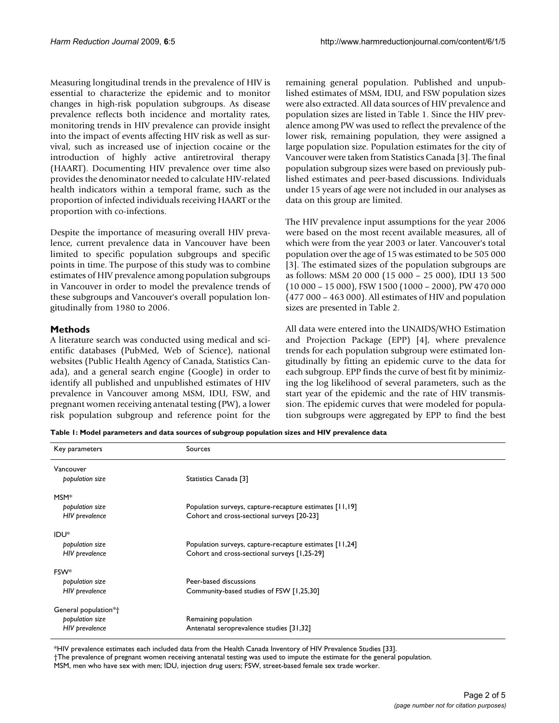Measuring longitudinal trends in the prevalence of HIV is essential to characterize the epidemic and to monitor changes in high-risk population subgroups. As disease prevalence reflects both incidence and mortality rates, monitoring trends in HIV prevalence can provide insight into the impact of events affecting HIV risk as well as survival, such as increased use of injection cocaine or the introduction of highly active antiretroviral therapy (HAART). Documenting HIV prevalence over time also provides the denominator needed to calculate HIV-related health indicators within a temporal frame, such as the proportion of infected individuals receiving HAART or the proportion with co-infections.

Despite the importance of measuring overall HIV prevalence, current prevalence data in Vancouver have been limited to specific population subgroups and specific points in time. The purpose of this study was to combine estimates of HIV prevalence among population subgroups in Vancouver in order to model the prevalence trends of these subgroups and Vancouver's overall population longitudinally from 1980 to 2006.

# **Methods**

A literature search was conducted using medical and scientific databases (PubMed, Web of Science), national websites (Public Health Agency of Canada, Statistics Canada), and a general search engine (Google) in order to identify all published and unpublished estimates of HIV prevalence in Vancouver among MSM, IDU, FSW, and pregnant women receiving antenatal testing (PW), a lower risk population subgroup and reference point for the remaining general population. Published and unpublished estimates of MSM, IDU, and FSW population sizes were also extracted. All data sources of HIV prevalence and population sizes are listed in Table 1. Since the HIV prevalence among PW was used to reflect the prevalence of the lower risk, remaining population, they were assigned a large population size. Population estimates for the city of Vancouver were taken from Statistics Canada [3]. The final population subgroup sizes were based on previously published estimates and peer-based discussions. Individuals under 15 years of age were not included in our analyses as data on this group are limited.

The HIV prevalence input assumptions for the year 2006 were based on the most recent available measures, all of which were from the year 2003 or later. Vancouver's total population over the age of 15 was estimated to be 505 000 [3]. The estimated sizes of the population subgroups are as follows: MSM 20 000 (15 000 – 25 000), IDU 13 500 (10 000 – 15 000), FSW 1500 (1000 – 2000), PW 470 000 (477 000 – 463 000). All estimates of HIV and population sizes are presented in Table 2.

All data were entered into the UNAIDS/WHO Estimation and Projection Package (EPP) [4], where prevalence trends for each population subgroup were estimated longitudinally by fitting an epidemic curve to the data for each subgroup. EPP finds the curve of best fit by minimizing the log likelihood of several parameters, such as the start year of the epidemic and the rate of HIV transmission. The epidemic curves that were modeled for population subgroups were aggregated by EPP to find the best

**Table 1: Model parameters and data sources of subgroup population sizes and HIV prevalence data**

| Key parameters        | Sources                                                 |  |
|-----------------------|---------------------------------------------------------|--|
| Vancouver             |                                                         |  |
| population size       | Statistics Canada [3]                                   |  |
| MSM <sup>*</sup>      |                                                         |  |
| population size       | Population surveys, capture-recapture estimates [11,19] |  |
| <b>HIV</b> prevalence | Cohort and cross-sectional surveys [20-23]              |  |
| IDU <sup>*</sup>      |                                                         |  |
| population size       | Population surveys, capture-recapture estimates [11,24] |  |
| <b>HIV</b> prevalence | Cohort and cross-sectional surveys [1,25-29]            |  |
| FSW <sup>*</sup>      |                                                         |  |
| population size       | Peer-based discussions                                  |  |
| <b>HIV</b> prevalence | Community-based studies of FSW [1,25,30]                |  |
| General population*+  |                                                         |  |
| population size       | Remaining population                                    |  |
| <b>HIV</b> prevalence | Antenatal seroprevalence studies [31,32]                |  |

\*HIV prevalence estimates each included data from the Health Canada Inventory of HIV Prevalence Studies [33].

†The prevalence of pregnant women receiving antenatal testing was used to impute the estimate for the general population.

MSM, men who have sex with men; IDU, injection drug users; FSW, street-based female sex trade worker.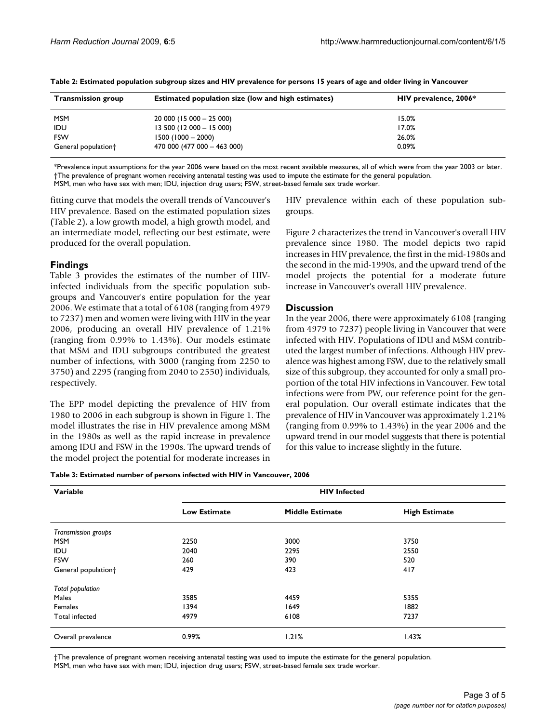| <b>Transmission group</b>       | <b>Estimated population size (low and high estimates)</b> | HIV prevalence, 2006* |
|---------------------------------|-----------------------------------------------------------|-----------------------|
| <b>MSM</b>                      | $20000(15000 - 25000)$                                    | 15.0%                 |
| <b>IDU</b>                      | $13\,500$ (12 000 $-$ 15 000)                             | 17.0%                 |
| <b>FSW</b>                      | $1500(1000 - 2000)$                                       | 26.0%                 |
| General population <sup>+</sup> | $470000(477000 - 46300)$                                  | 0.09%                 |

**Table 2: Estimated population subgroup sizes and HIV prevalence for persons 15 years of age and older living in Vancouver**

\*Prevalence input assumptions for the year 2006 were based on the most recent available measures, all of which were from the year 2003 or later. †The prevalence of pregnant women receiving antenatal testing was used to impute the estimate for the general population.

MSM, men who have sex with men; IDU, injection drug users; FSW, street-based female sex trade worker.

fitting curve that models the overall trends of Vancouver's HIV prevalence. Based on the estimated population sizes (Table 2), a low growth model, a high growth model, and an intermediate model, reflecting our best estimate, were produced for the overall population.

# **Findings**

Table 3 provides the estimates of the number of HIVinfected individuals from the specific population subgroups and Vancouver's entire population for the year 2006. We estimate that a total of 6108 (ranging from 4979 to 7237) men and women were living with HIV in the year 2006, producing an overall HIV prevalence of 1.21% (ranging from 0.99% to 1.43%). Our models estimate that MSM and IDU subgroups contributed the greatest number of infections, with 3000 (ranging from 2250 to 3750) and 2295 (ranging from 2040 to 2550) individuals, respectively.

The EPP model depicting the prevalence of HIV from 1980 to 2006 in each subgroup is shown in Figure 1. The model illustrates the rise in HIV prevalence among MSM in the 1980s as well as the rapid increase in prevalence among IDU and FSW in the 1990s. The upward trends of the model project the potential for moderate increases in HIV prevalence within each of these population subgroups.

Figure 2 characterizes the trend in Vancouver's overall HIV prevalence since 1980. The model depicts two rapid increases in HIV prevalence, the first in the mid-1980s and the second in the mid-1990s, and the upward trend of the model projects the potential for a moderate future increase in Vancouver's overall HIV prevalence.

# **Discussion**

In the year 2006, there were approximately 6108 (ranging from 4979 to 7237) people living in Vancouver that were infected with HIV. Populations of IDU and MSM contributed the largest number of infections. Although HIV prevalence was highest among FSW, due to the relatively small size of this subgroup, they accounted for only a small proportion of the total HIV infections in Vancouver. Few total infections were from PW, our reference point for the general population. Our overall estimate indicates that the prevalence of HIV in Vancouver was approximately 1.21% (ranging from 0.99% to 1.43%) in the year 2006 and the upward trend in our model suggests that there is potential for this value to increase slightly in the future.

|  | Table 3: Estimated number of persons infected with HIV in Vancouver, 2006 |  |
|--|---------------------------------------------------------------------------|--|
|--|---------------------------------------------------------------------------|--|

| Variable                        | <b>HIV Infected</b> |                        |                      |  |
|---------------------------------|---------------------|------------------------|----------------------|--|
|                                 | <b>Low Estimate</b> | <b>Middle Estimate</b> | <b>High Estimate</b> |  |
| Transmission groups             |                     |                        |                      |  |
| <b>MSM</b>                      | 2250                | 3000                   | 3750                 |  |
| <b>IDU</b>                      | 2040                | 2295                   | 2550                 |  |
| <b>FSW</b>                      | 260                 | 390                    | 520                  |  |
| General population <sup>+</sup> | 429                 | 423                    | 417                  |  |
| <b>Total population</b>         |                     |                        |                      |  |
| Males                           | 3585                | 4459                   | 5355                 |  |
| Females                         | 1394                | 1649                   | 1882                 |  |
| Total infected                  | 4979                | 6108                   | 7237                 |  |
| Overall prevalence              | 0.99%               | 1.21%                  | 1.43%                |  |

†The prevalence of pregnant women receiving antenatal testing was used to impute the estimate for the general population. MSM, men who have sex with men; IDU, injection drug users; FSW, street-based female sex trade worker.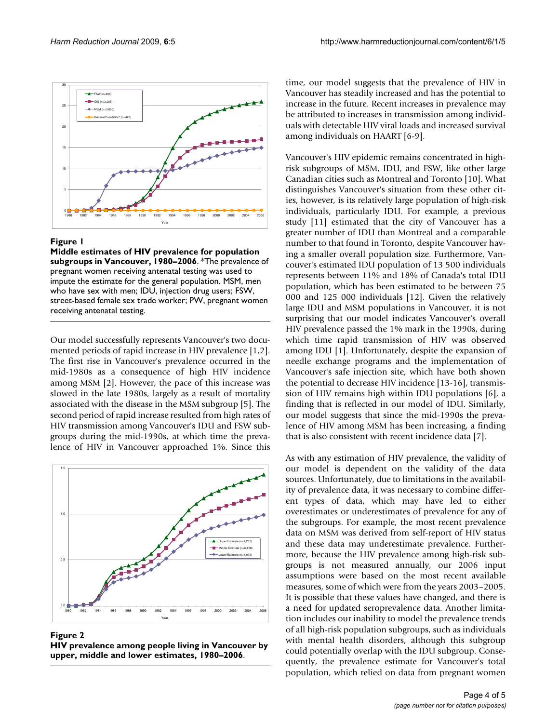

#### Figure 1

**Middle estimates of HIV prevalence for population subgroups in Vancouver, 1980–2006**. \*The prevalence of pregnant women receiving antenatal testing was used to impute the estimate for the general population. MSM, men who have sex with men; IDU, injection drug users; FSW, street-based female sex trade worker; PW, pregnant women receiving antenatal testing.

Our model successfully represents Vancouver's two documented periods of rapid increase in HIV prevalence [1,2]. The first rise in Vancouver's prevalence occurred in the mid-1980s as a consequence of high HIV incidence among MSM [2]. However, the pace of this increase was slowed in the late 1980s, largely as a result of mortality associated with the disease in the MSM subgroup [5]. The second period of rapid increase resulted from high rates of HIV transmission among Vancouver's IDU and FSW subgroups during the mid-1990s, at which time the prevalence of HIV in Vancouver approached 1%. Since this



#### **Figure 2**

**HIV prevalence among people living in Vancouver by upper, middle and lower estimates, 1980–2006**.

time, our model suggests that the prevalence of HIV in Vancouver has steadily increased and has the potential to increase in the future. Recent increases in prevalence may be attributed to increases in transmission among individuals with detectable HIV viral loads and increased survival among individuals on HAART [6-9].

Vancouver's HIV epidemic remains concentrated in highrisk subgroups of MSM, IDU, and FSW, like other large Canadian cities such as Montreal and Toronto [10]. What distinguishes Vancouver's situation from these other cities, however, is its relatively large population of high-risk individuals, particularly IDU. For example, a previous study [11] estimated that the city of Vancouver has a greater number of IDU than Montreal and a comparable number to that found in Toronto, despite Vancouver having a smaller overall population size. Furthermore, Vancouver's estimated IDU population of 13 500 individuals represents between 11% and 18% of Canada's total IDU population, which has been estimated to be between 75 000 and 125 000 individuals [12]. Given the relatively large IDU and MSM populations in Vancouver, it is not surprising that our model indicates Vancouver's overall HIV prevalence passed the 1% mark in the 1990s, during which time rapid transmission of HIV was observed among IDU [1]. Unfortunately, despite the expansion of needle exchange programs and the implementation of Vancouver's safe injection site, which have both shown the potential to decrease HIV incidence [13-16], transmission of HIV remains high within IDU populations [6], a finding that is reflected in our model of IDU. Similarly, our model suggests that since the mid-1990s the prevalence of HIV among MSM has been increasing, a finding that is also consistent with recent incidence data [7].

As with any estimation of HIV prevalence, the validity of our model is dependent on the validity of the data sources. Unfortunately, due to limitations in the availability of prevalence data, it was necessary to combine different types of data, which may have led to either overestimates or underestimates of prevalence for any of the subgroups. For example, the most recent prevalence data on MSM was derived from self-report of HIV status and these data may underestimate prevalence. Furthermore, because the HIV prevalence among high-risk subgroups is not measured annually, our 2006 input assumptions were based on the most recent available measures, some of which were from the years 2003–2005. It is possible that these values have changed, and there is a need for updated seroprevalence data. Another limitation includes our inability to model the prevalence trends of all high-risk population subgroups, such as individuals with mental health disorders, although this subgroup could potentially overlap with the IDU subgroup. Consequently, the prevalence estimate for Vancouver's total population, which relied on data from pregnant women